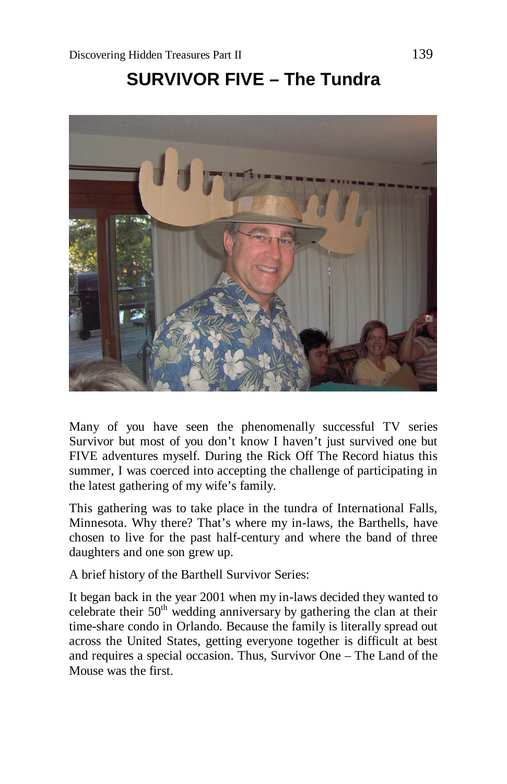## **SURVIVOR FIVE – The Tundra**



Many of you have seen the phenomenally successful TV series Survivor but most of you don't know I haven't just survived one but FIVE adventures myself. During the Rick Off The Record hiatus this summer, I was coerced into accepting the challenge of participating in the latest gathering of my wife's family.

This gathering was to take place in the tundra of International Falls, Minnesota. Why there? That's where my in-laws, the Barthells, have chosen to live for the past half-century and where the band of three daughters and one son grew up.

A brief history of the Barthell Survivor Series:

It began back in the year 2001 when my in-laws decided they wanted to celebrate their  $50<sup>th</sup>$  wedding anniversary by gathering the clan at their time-share condo in Orlando. Because the family is literally spread out across the United States, getting everyone together is difficult at best and requires a special occasion. Thus, Survivor One – The Land of the Mouse was the first.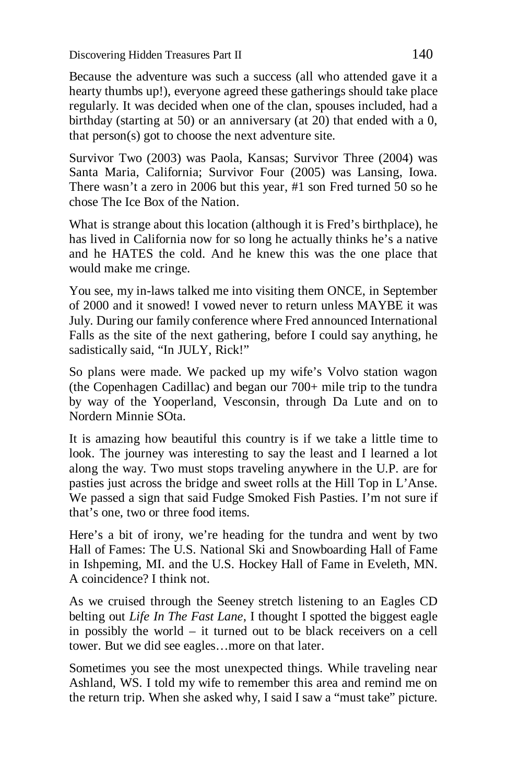Because the adventure was such a success (all who attended gave it a hearty thumbs up!), everyone agreed these gatherings should take place regularly. It was decided when one of the clan, spouses included, had a birthday (starting at 50) or an anniversary (at 20) that ended with a 0, that person(s) got to choose the next adventure site.

Survivor Two (2003) was Paola, Kansas; Survivor Three (2004) was Santa Maria, California; Survivor Four (2005) was Lansing, Iowa. There wasn't a zero in 2006 but this year, #1 son Fred turned 50 so he chose The Ice Box of the Nation.

What is strange about this location (although it is Fred's birthplace), he has lived in California now for so long he actually thinks he's a native and he HATES the cold. And he knew this was the one place that would make me cringe.

You see, my in-laws talked me into visiting them ONCE, in September of 2000 and it snowed! I vowed never to return unless MAYBE it was July. During our family conference where Fred announced International Falls as the site of the next gathering, before I could say anything, he sadistically said, "In JULY, Rick!"

So plans were made. We packed up my wife's Volvo station wagon (the Copenhagen Cadillac) and began our 700+ mile trip to the tundra by way of the Yooperland, Vesconsin, through Da Lute and on to Nordern Minnie SOta.

It is amazing how beautiful this country is if we take a little time to look. The journey was interesting to say the least and I learned a lot along the way. Two must stops traveling anywhere in the U.P. are for pasties just across the bridge and sweet rolls at the Hill Top in L'Anse. We passed a sign that said Fudge Smoked Fish Pasties. I'm not sure if that's one, two or three food items.

Here's a bit of irony, we're heading for the tundra and went by two Hall of Fames: The U.S. National Ski and Snowboarding Hall of Fame in Ishpeming, MI. and the U.S. Hockey Hall of Fame in Eveleth, MN. A coincidence? I think not.

As we cruised through the Seeney stretch listening to an Eagles CD belting out *Life In The Fast Lane*, I thought I spotted the biggest eagle in possibly the world – it turned out to be black receivers on a cell tower. But we did see eagles…more on that later.

Sometimes you see the most unexpected things. While traveling near Ashland, WS. I told my wife to remember this area and remind me on the return trip. When she asked why, I said I saw a "must take" picture.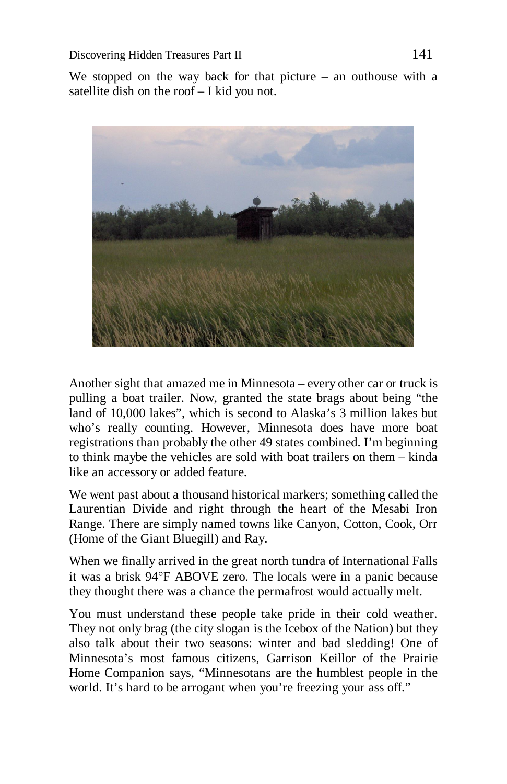We stopped on the way back for that picture – an outhouse with a satellite dish on the roof – I kid you not.



Another sight that amazed me in Minnesota – every other car or truck is pulling a boat trailer. Now, granted the state brags about being "the land of 10,000 lakes", which is second to Alaska's 3 million lakes but who's really counting. However, Minnesota does have more boat registrations than probably the other 49 states combined. I'm beginning to think maybe the vehicles are sold with boat trailers on them – kinda like an accessory or added feature.

We went past about a thousand historical markers; something called the Laurentian Divide and right through the heart of the Mesabi Iron Range. There are simply named towns like Canyon, Cotton, Cook, Orr (Home of the Giant Bluegill) and Ray.

When we finally arrived in the great north tundra of International Falls it was a brisk 94°F ABOVE zero. The locals were in a panic because they thought there was a chance the permafrost would actually melt.

You must understand these people take pride in their cold weather. They not only brag (the city slogan is the Icebox of the Nation) but they also talk about their two seasons: winter and bad sledding! One of Minnesota's most famous citizens, Garrison Keillor of the Prairie Home Companion says, "Minnesotans are the humblest people in the world. It's hard to be arrogant when you're freezing your ass off."